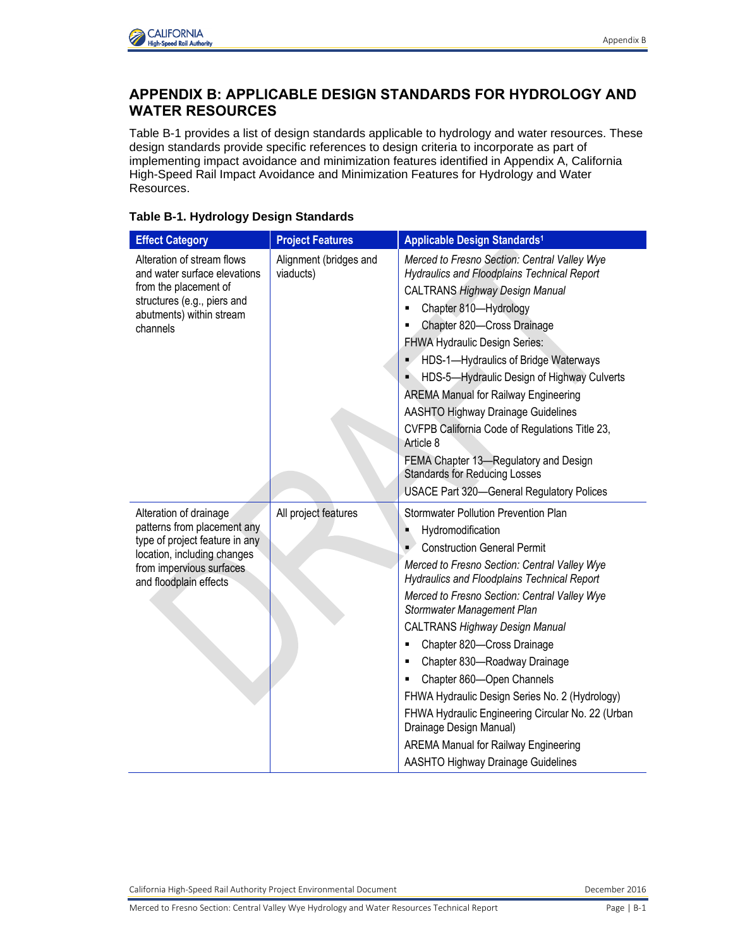

## **APPENDIX B: APPLICABLE DESIGN STANDARDS FOR HYDROLOGY AND WATER RESOURCES**

Table B-1 provides a list of design standards applicable to hydrology and water resources. These design standards provide specific references to design criteria to incorporate as part of implementing impact avoidance and minimization features identified in Appendix A, California High-Speed Rail Impact Avoidance and Minimization Features for Hydrology and Water Resources.

| <b>Effect Category</b>                                                                                                                                                       | <b>Project Features</b>             | Applicable Design Standards <sup>1</sup>                                                                                                                                                                                                                                                                                                                                                                                                                                                                                                                                                                                                                                                           |
|------------------------------------------------------------------------------------------------------------------------------------------------------------------------------|-------------------------------------|----------------------------------------------------------------------------------------------------------------------------------------------------------------------------------------------------------------------------------------------------------------------------------------------------------------------------------------------------------------------------------------------------------------------------------------------------------------------------------------------------------------------------------------------------------------------------------------------------------------------------------------------------------------------------------------------------|
| Alteration of stream flows<br>and water surface elevations<br>from the placement of<br>structures (e.g., piers and<br>abutments) within stream<br>channels                   | Alignment (bridges and<br>viaducts) | Merced to Fresno Section: Central Valley Wye<br><b>Hydraulics and Floodplains Technical Report</b><br><b>CALTRANS Highway Design Manual</b><br>Chapter 810-Hydrology<br>Chapter 820-Cross Drainage<br>FHWA Hydraulic Design Series:<br>HDS-1-Hydraulics of Bridge Waterways<br>٠<br>HDS-5-Hydraulic Design of Highway Culverts<br><b>AREMA Manual for Railway Engineering</b><br><b>AASHTO Highway Drainage Guidelines</b><br>CVFPB California Code of Regulations Title 23,<br>Article 8<br>FEMA Chapter 13-Regulatory and Design<br><b>Standards for Reducing Losses</b><br><b>USACE Part 320-General Regulatory Polices</b>                                                                     |
| Alteration of drainage<br>patterns from placement any<br>type of project feature in any<br>location, including changes<br>from impervious surfaces<br>and floodplain effects | All project features                | <b>Stormwater Pollution Prevention Plan</b><br>Hydromodification<br>٠<br><b>Construction General Permit</b><br>$\blacksquare$<br>Merced to Fresno Section: Central Valley Wye<br><b>Hydraulics and Floodplains Technical Report</b><br>Merced to Fresno Section: Central Valley Wye<br>Stormwater Management Plan<br><b>CALTRANS Highway Design Manual</b><br>Chapter 820-Cross Drainage<br>٠<br>Chapter 830-Roadway Drainage<br>٠<br>Chapter 860-Open Channels<br>٠<br>FHWA Hydraulic Design Series No. 2 (Hydrology)<br>FHWA Hydraulic Engineering Circular No. 22 (Urban<br>Drainage Design Manual)<br><b>AREMA Manual for Railway Engineering</b><br><b>AASHTO Highway Drainage Guidelines</b> |

## **Table B-1. Hydrology Design Standards**

California High-Speed Rail Authority Project Environmental Document **December 2016** December 2016